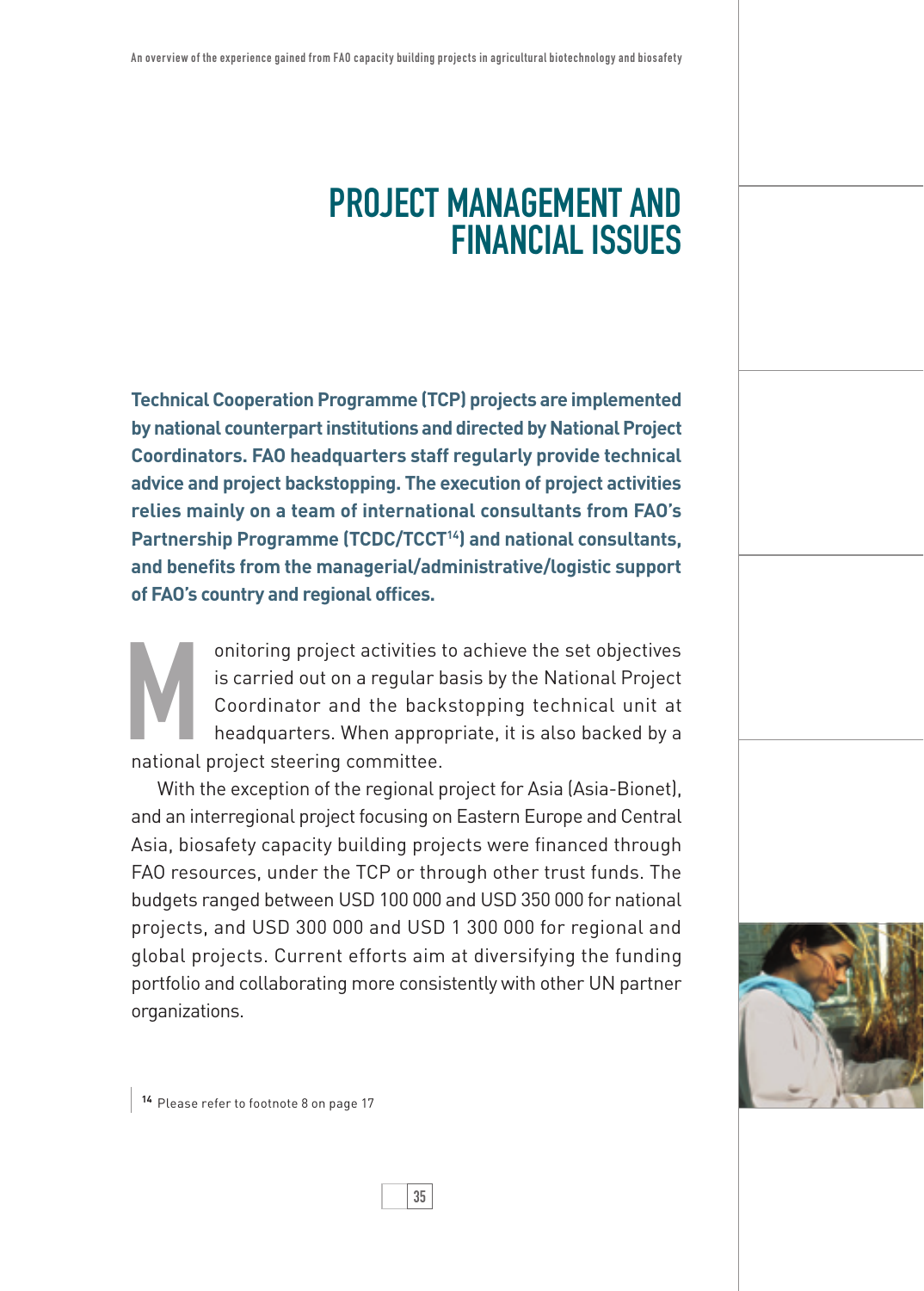## Project Management and Financial issues

**Technical Cooperation Programme (TCP) projects are implemented by national counterpart institutions and directed by National Project Coordinators. FAO headquarters staff regularly provide technical advice and project backstopping. The execution of project activities relies mainly on a team of international consultants from FAO's Partnership Programme (TCDC/TCCT14) and national consultants, and benefits from the managerial/administrative/logistic support of FAO's country and regional offices.** 

onitoring project activities to achieve the set objectives<br>is carried out on a regular basis by the National Project<br>Coordinator and the backstopping technical unit at<br>headquarters. When appropriate, it is also backed by a is carried out on a regular basis by the National Project Coordinator and the backstopping technical unit at headquarters. When appropriate, it is also backed by a national project steering committee.

With the exception of the regional project for Asia (Asia-Bionet), and an interregional project focusing on Eastern Europe and Central Asia, biosafety capacity building projects were financed through FAO resources, under the TCP or through other trust funds. The budgets ranged between USD 100 000 and USD 350 000 for national projects, and USD 300 000 and USD 1 300 000 for regional and global projects. Current efforts aim at diversifying the funding portfolio and collaborating more consistently with other UN partner organizations.



**<sup>14</sup>** Please refer to footnote 8 on page 17